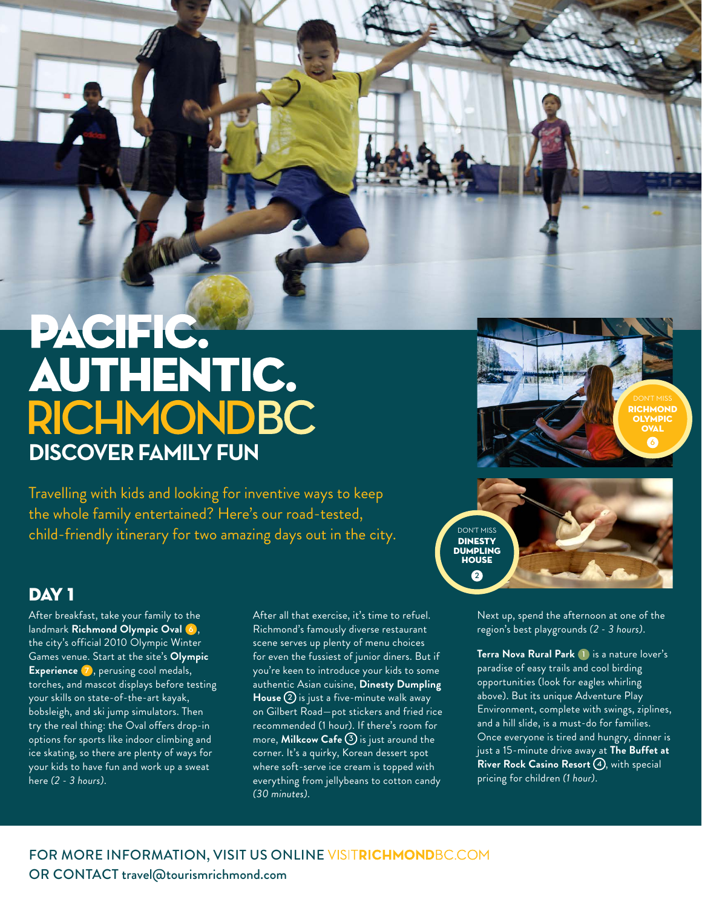## PACIFIC. **AUTHENTIC. RICHMONDBC DISCOVER FAMILY FUN**

Travelling with kids and looking for inventive ways to keep the whole family entertained? Here's our road-tested, child-friendly itinerary for two amazing days out in the city.  $\sum_{\text{NINESTV}}$ 

## DAY<sub>1</sub>

After breakfast, take your family to the landmark **Richmond Olympic Oval 6** , the city's official 2010 Olympic Winter Games venue. Start at the site's **Olympic Experience 7** , perusing cool medals, torches, and mascot displays before testing your skills on state-of-the-art kayak, bobsleigh, and ski jump simulators. Then try the real thing: the Oval offers drop-in options for sports like indoor climbing and ice skating, so there are plenty of ways for your kids to have fun and work up a sweat here *(2 - 3 hours)*.

After all that exercise, it's time to refuel. Richmond's famously diverse restaurant scene serves up plenty of menu choices for even the fussiest of junior diners. But if you're keen to introduce your kids to some authentic Asian cuisine, **Dinesty Dumpling House 2** is just a five-minute walk away on Gilbert Road-pot stickers and fried rice recommended (1 hour). If there's room for more, **Milkcow Cafe 3** is just around the corner. It's a quirky, Korean dessert spot where soft-serve ice cream is topped with everything from jellybeans to cotton candy *(30 minutes)*.



Next up, spend the afternoon at one of the region's best playgrounds *(2 - 3 hours)*.

**Terra Nova Rural Park 1** is a nature lover's paradise of easy trails and cool birding opportunities (look for eagles whirling above). But its unique Adventure Play Environment, complete with swings, ziplines, and a hill slide, is a must-do for families. Once everyone is tired and hungry, dinner is just a 15-minute drive away at **The Buffet at River Rock Casino Resort 4** , with special pricing for children *(1 hour)*.